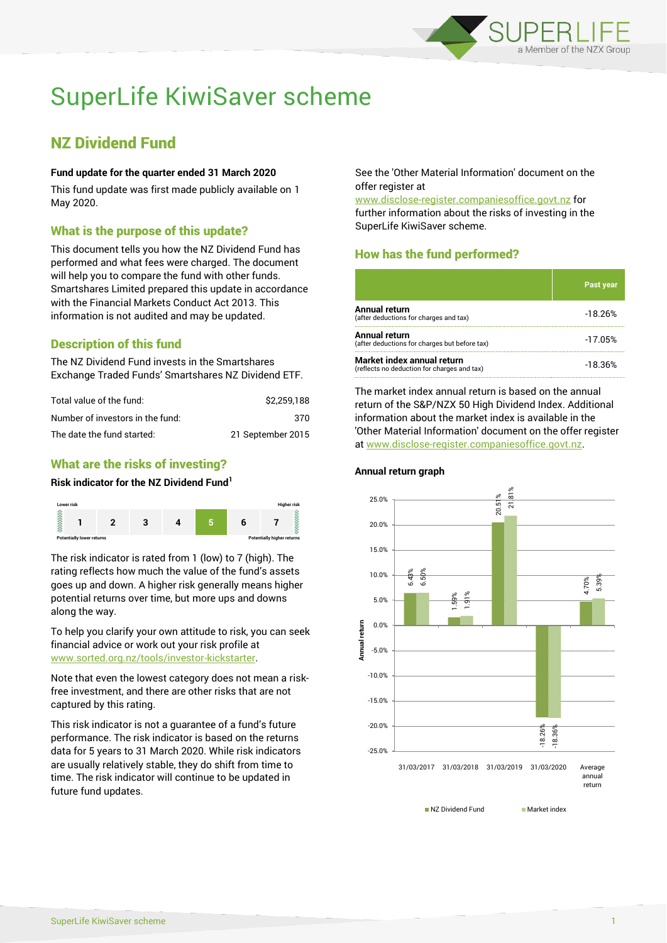

# SuperLife KiwiSaver scheme

## NZ Dividend Fund

#### **Fund update for the quarter ended 31 March 2020**

This fund update was first made publicly available on 1 May 2020.

#### What is the purpose of this update?

This document tells you how the NZ Dividend Fund has performed and what fees were charged. The document will help you to compare the fund with other funds. Smartshares Limited prepared this update in accordance with the Financial Markets Conduct Act 2013. This information is not audited and may be updated.

## Description of this fund

The NZ Dividend Fund invests in the Smartshares Exchange Traded Funds' Smartshares NZ Dividend ETF.

| Total value of the fund:         | \$2.259.188       |
|----------------------------------|-------------------|
| Number of investors in the fund: | 370               |
| The date the fund started:       | 21 September 2015 |

### What are the risks of investing?

#### **Risk indicator for the NZ Dividend Fund<sup>1</sup>**



The risk indicator is rated from 1 (low) to 7 (high). The rating reflects how much the value of the fund's assets goes up and down. A higher risk generally means higher potential returns over time, but more ups and downs along the way.

To help you clarify your own attitude to risk, you can seek financial advice or work out your risk profile at [www.sorted.org.nz/tools/investor-kickstarter.](http://www.sorted.org.nz/tools/investor-kickstarter)

Note that even the lowest category does not mean a riskfree investment, and there are other risks that are not captured by this rating.

This risk indicator is not a guarantee of a fund's future performance. The risk indicator is based on the returns data for 5 years to 31 March 2020. While risk indicators are usually relatively stable, they do shift from time to time. The risk indicator will continue to be updated in future fund updates.

See the 'Other Material Information' document on the offer register at

www.disclose-register.companiesoffice.govt.nz for further information about the risks of investing in the SuperLife KiwiSaver scheme.

## How has the fund performed?

|                                                                           | <b>Past year</b> |
|---------------------------------------------------------------------------|------------------|
| Annual return<br>(after deductions for charges and tax)                   | $-18.26%$        |
| Annual return<br>(after deductions for charges but before tax)            | $-17.05%$        |
| Market index annual return<br>(reflects no deduction for charges and tax) | $-18.36%$        |

The market index annual return is based on the annual return of the S&P/NZX 50 High Dividend Index. Additional information about the market index is available in the 'Other Material Information' document on the offer register at www.disclose-register.companiesoffice.govt.nz.

#### 6.43% 1.59% 20.51% -18.26% 4.70% 6.50% 1.91%  $\frac{1}{8}$ -18.36% 5.39% -25.0% -20.0% -15.0% -10.0% -5.0% 0.0% 5.0% 10.0% 15.0% 20.0% 25.0% 31/03/2017 31/03/2018 31/03/2019 31/03/2020 Average annual return **Annual return**

■ NZ Dividend Fund Market index

#### **Annual return graph**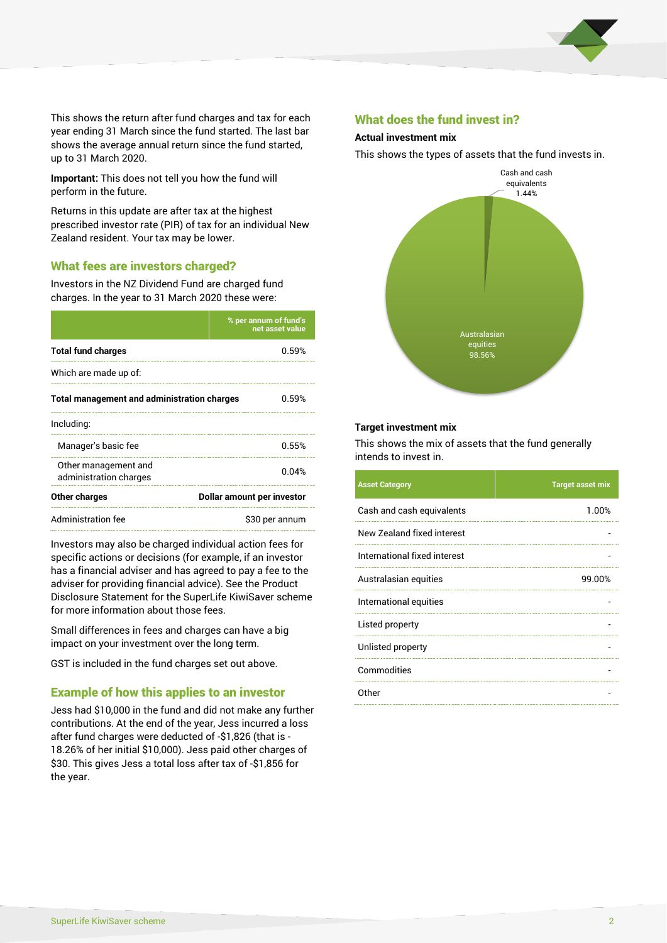

This shows the return after fund charges and tax for each year ending 31 March since the fund started. The last bar shows the average annual return since the fund started, up to 31 March 2020.

**Important:** This does not tell you how the fund will perform in the future.

Returns in this update are after tax at the highest prescribed investor rate (PIR) of tax for an individual New Zealand resident. Your tax may be lower.

#### What fees are investors charged?

Investors in the NZ Dividend Fund are charged fund charges. In the year to 31 March 2020 these were:

|                                                    | % per annum of fund's<br>net asset value |  |
|----------------------------------------------------|------------------------------------------|--|
| <b>Total fund charges</b>                          | 0.59%                                    |  |
| Which are made up of:                              |                                          |  |
| <b>Total management and administration charges</b> | 0.59%                                    |  |
| Including:                                         |                                          |  |
| Manager's basic fee                                | 0.55%                                    |  |
| Other management and<br>administration charges     | በ በ4%                                    |  |
| Other charges                                      | Dollar amount per investor               |  |
| Administration fee                                 | \$30 per annum                           |  |

Investors may also be charged individual action fees for specific actions or decisions (for example, if an investor has a financial adviser and has agreed to pay a fee to the adviser for providing financial advice). See the Product Disclosure Statement for the SuperLife KiwiSaver scheme for more information about those fees.

Small differences in fees and charges can have a big impact on your investment over the long term.

GST is included in the fund charges set out above.

#### Example of how this applies to an investor

Jess had \$10,000 in the fund and did not make any further contributions. At the end of the year, Jess incurred a loss after fund charges were deducted of -\$1,826 (that is - 18.26% of her initial \$10,000). Jess paid other charges of \$30. This gives Jess a total loss after tax of -\$1,856 for the year.

#### What does the fund invest in?

#### **Actual investment mix**

This shows the types of assets that the fund invests in.



#### **Target investment mix**

This shows the mix of assets that the fund generally intends to invest in.

| <b>Asset Category</b>        | <b>Target asset mix</b> |
|------------------------------|-------------------------|
| Cash and cash equivalents    | 1.00%                   |
| New Zealand fixed interest   |                         |
| International fixed interest |                         |
| Australasian equities        | 99.00%                  |
| International equities       |                         |
| Listed property              |                         |
| Unlisted property            |                         |
| Commodities                  |                         |
| Other                        |                         |